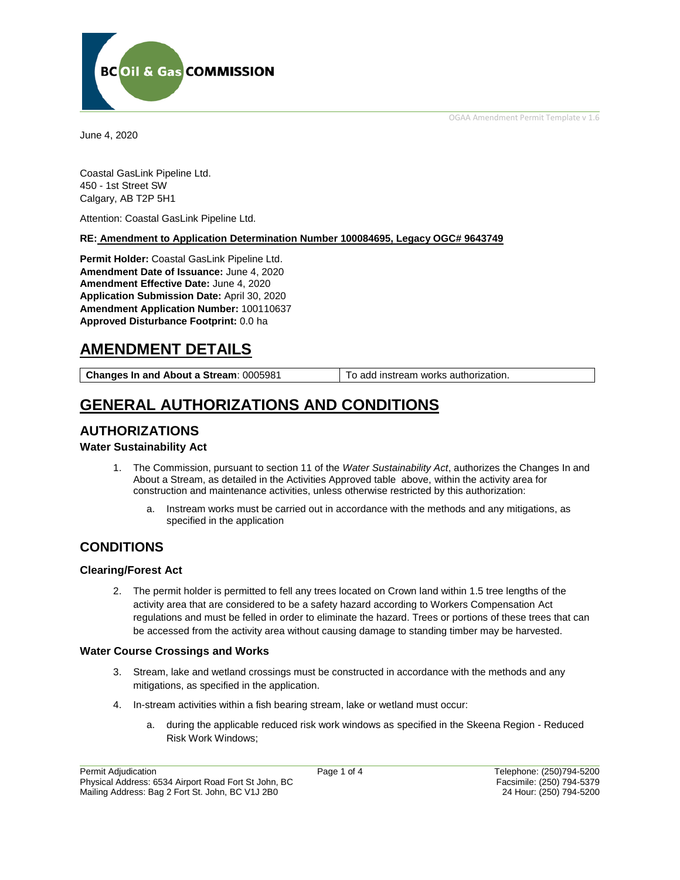OGAA Amendment Permit Template v 1.6



June 4, 2020

Coastal GasLink Pipeline Ltd. 450 - 1st Street SW Calgary, AB T2P 5H1

Attention: Coastal GasLink Pipeline Ltd.

**RE: Amendment to Application Determination Number 100084695, Legacy OGC# 9643749**

**Permit Holder:** Coastal GasLink Pipeline Ltd. **Amendment Date of Issuance:** June 4, 2020 **Amendment Effective Date:** June 4, 2020 **Application Submission Date:** April 30, 2020 **Amendment Application Number:** 100110637 **Approved Disturbance Footprint:** 0.0 ha

## **AMENDMENT DETAILS**

**Changes In and About a Stream:** 0005981 To add instream works authorization.

# **GENERAL AUTHORIZATIONS AND CONDITIONS**

## **AUTHORIZATIONS**

#### **Water Sustainability Act**

- 1. The Commission, pursuant to section 11 of the *Water Sustainability Act*, authorizes the Changes In and About a Stream, as detailed in the Activities Approved table above, within the activity area for construction and maintenance activities, unless otherwise restricted by this authorization:
	- a. Instream works must be carried out in accordance with the methods and any mitigations, as specified in the application

## **CONDITIONS**

#### **Clearing/Forest Act**

2. The permit holder is permitted to fell any trees located on Crown land within 1.5 tree lengths of the activity area that are considered to be a safety hazard according to Workers Compensation Act regulations and must be felled in order to eliminate the hazard. Trees or portions of these trees that can be accessed from the activity area without causing damage to standing timber may be harvested.

#### **Water Course Crossings and Works**

- 3. Stream, lake and wetland crossings must be constructed in accordance with the methods and any mitigations, as specified in the application.
- 4. In-stream activities within a fish bearing stream, lake or wetland must occur:
	- a. during the applicable reduced risk work windows as specified in the Skeena Region Reduced Risk Work Windows;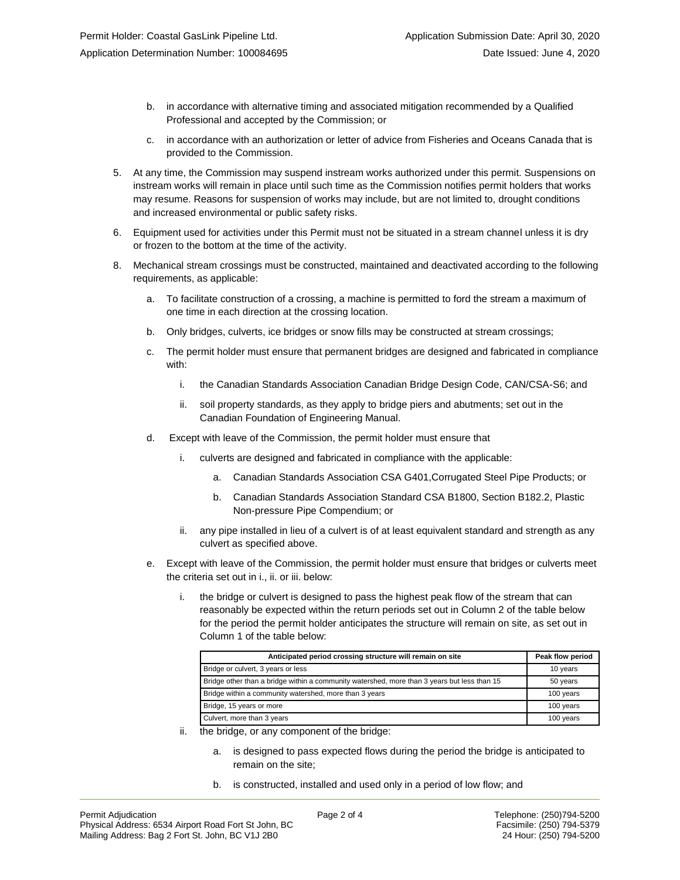- b. in accordance with alternative timing and associated mitigation recommended by a Qualified Professional and accepted by the Commission; or
- c. in accordance with an authorization or letter of advice from Fisheries and Oceans Canada that is provided to the Commission.
- 5. At any time, the Commission may suspend instream works authorized under this permit. Suspensions on instream works will remain in place until such time as the Commission notifies permit holders that works may resume. Reasons for suspension of works may include, but are not limited to, drought conditions and increased environmental or public safety risks.
- 6. Equipment used for activities under this Permit must not be situated in a stream channel unless it is dry or frozen to the bottom at the time of the activity.
- 8. Mechanical stream crossings must be constructed, maintained and deactivated according to the following requirements, as applicable:
	- a. To facilitate construction of a crossing, a machine is permitted to ford the stream a maximum of one time in each direction at the crossing location.
	- b. Only bridges, culverts, ice bridges or snow fills may be constructed at stream crossings;
	- c. The permit holder must ensure that permanent bridges are designed and fabricated in compliance with:
		- i. the Canadian Standards Association Canadian Bridge Design Code, CAN/CSA-S6; and
		- ii. soil property standards, as they apply to bridge piers and abutments; set out in the Canadian Foundation of Engineering Manual.
	- d. Except with leave of the Commission, the permit holder must ensure that
		- culverts are designed and fabricated in compliance with the applicable:
			- a. Canadian Standards Association CSA G401,Corrugated Steel Pipe Products; or
			- b. Canadian Standards Association Standard CSA B1800, Section B182.2, Plastic Non-pressure Pipe Compendium; or
		- any pipe installed in lieu of a culvert is of at least equivalent standard and strength as any culvert as specified above.
	- e. Except with leave of the Commission, the permit holder must ensure that bridges or culverts meet the criteria set out in i., ii. or iii. below:
		- i. the bridge or culvert is designed to pass the highest peak flow of the stream that can reasonably be expected within the return periods set out in Column 2 of the table below for the period the permit holder anticipates the structure will remain on site, as set out in Column 1 of the table below:

| Anticipated period crossing structure will remain on site                                   | Peak flow period |
|---------------------------------------------------------------------------------------------|------------------|
| Bridge or culvert, 3 years or less                                                          | 10 years         |
| Bridge other than a bridge within a community watershed, more than 3 years but less than 15 | 50 years         |
| Bridge within a community watershed, more than 3 years                                      | 100 years        |
| Bridge, 15 years or more                                                                    | 100 years        |
| Culvert, more than 3 years                                                                  | 100 years        |

- ii. the bridge, or any component of the bridge:
	- a. is designed to pass expected flows during the period the bridge is anticipated to remain on the site;
	- b. is constructed, installed and used only in a period of low flow; and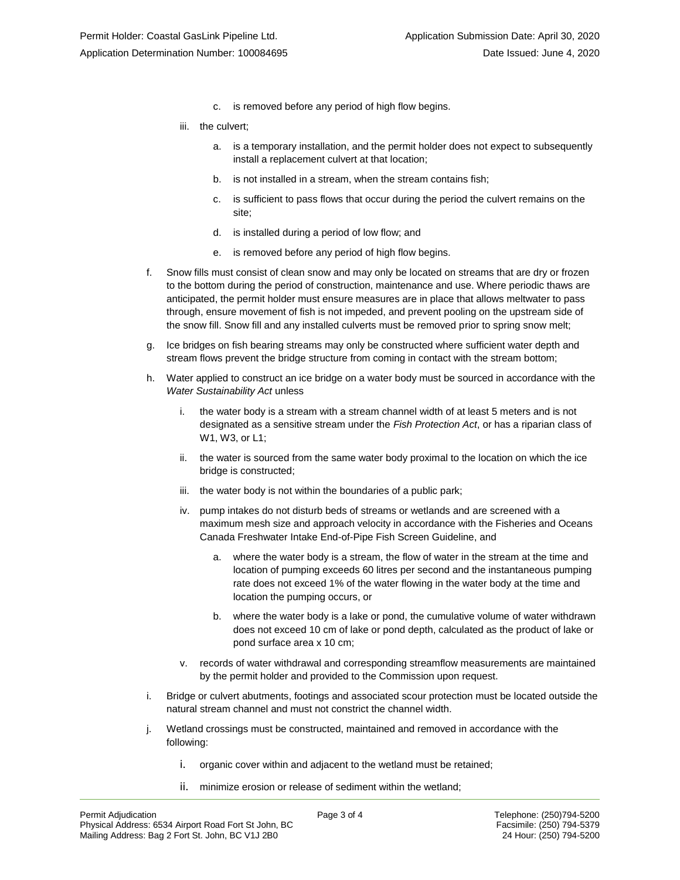- c. is removed before any period of high flow begins.
- iii. the culvert;
	- a. is a temporary installation, and the permit holder does not expect to subsequently install a replacement culvert at that location;
	- b. is not installed in a stream, when the stream contains fish;
	- c. is sufficient to pass flows that occur during the period the culvert remains on the site;
	- d. is installed during a period of low flow; and
	- e. is removed before any period of high flow begins.
- f. Snow fills must consist of clean snow and may only be located on streams that are dry or frozen to the bottom during the period of construction, maintenance and use. Where periodic thaws are anticipated, the permit holder must ensure measures are in place that allows meltwater to pass through, ensure movement of fish is not impeded, and prevent pooling on the upstream side of the snow fill. Snow fill and any installed culverts must be removed prior to spring snow melt;
- g. Ice bridges on fish bearing streams may only be constructed where sufficient water depth and stream flows prevent the bridge structure from coming in contact with the stream bottom;
- h. Water applied to construct an ice bridge on a water body must be sourced in accordance with the *Water Sustainability Act* unless
	- i. the water body is a stream with a stream channel width of at least 5 meters and is not designated as a sensitive stream under the *Fish Protection Act*, or has a riparian class of W1, W3, or L1;
	- ii. the water is sourced from the same water body proximal to the location on which the ice bridge is constructed;
	- iii. the water body is not within the boundaries of a public park;
	- iv. pump intakes do not disturb beds of streams or wetlands and are screened with a maximum mesh size and approach velocity in accordance with the Fisheries and Oceans Canada Freshwater Intake End-of-Pipe Fish Screen Guideline, and
		- a. where the water body is a stream, the flow of water in the stream at the time and location of pumping exceeds 60 litres per second and the instantaneous pumping rate does not exceed 1% of the water flowing in the water body at the time and location the pumping occurs, or
		- b. where the water body is a lake or pond, the cumulative volume of water withdrawn does not exceed 10 cm of lake or pond depth, calculated as the product of lake or pond surface area x 10 cm;
	- v. records of water withdrawal and corresponding streamflow measurements are maintained by the permit holder and provided to the Commission upon request.
- i. Bridge or culvert abutments, footings and associated scour protection must be located outside the natural stream channel and must not constrict the channel width.
- j. Wetland crossings must be constructed, maintained and removed in accordance with the following:
	- i. organic cover within and adjacent to the wetland must be retained;
	- ii. minimize erosion or release of sediment within the wetland;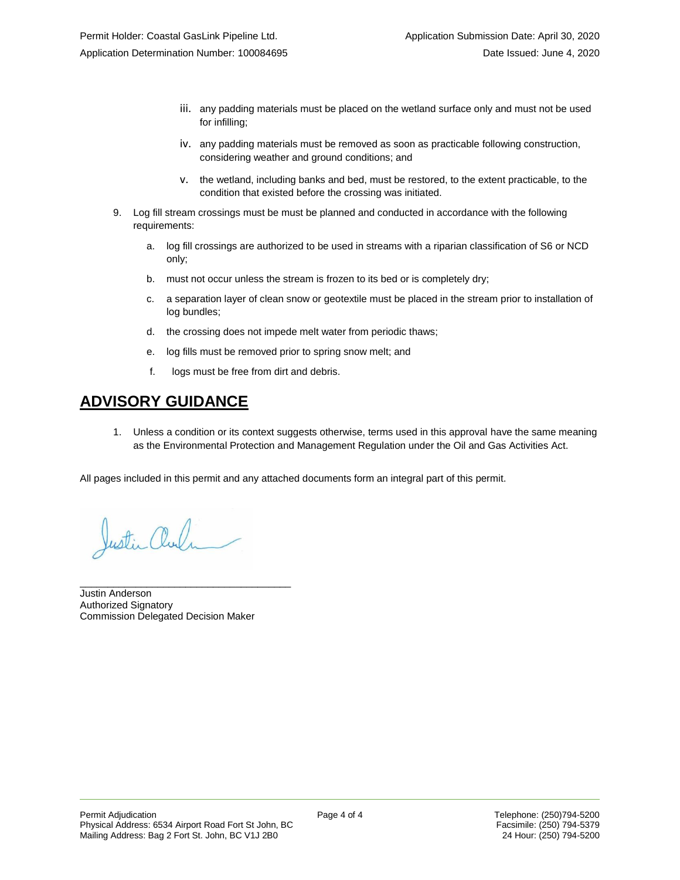- iii. any padding materials must be placed on the wetland surface only and must not be used for infilling;
- iv. any padding materials must be removed as soon as practicable following construction, considering weather and ground conditions; and
- v. the wetland, including banks and bed, must be restored, to the extent practicable, to the condition that existed before the crossing was initiated.
- 9. Log fill stream crossings must be must be planned and conducted in accordance with the following requirements:
	- a. log fill crossings are authorized to be used in streams with a riparian classification of S6 or NCD only;
	- b. must not occur unless the stream is frozen to its bed or is completely dry;
	- c. a separation layer of clean snow or geotextile must be placed in the stream prior to installation of log bundles;
	- d. the crossing does not impede melt water from periodic thaws;
	- e. log fills must be removed prior to spring snow melt; and
	- f. logs must be free from dirt and debris.

## **ADVISORY GUIDANCE**

1. Unless a condition or its context suggests otherwise, terms used in this approval have the same meaning as the Environmental Protection and Management Regulation under the Oil and Gas Activities Act.

All pages included in this permit and any attached documents form an integral part of this permit.

Justin and

Justin Anderson Authorized Signatory Commission Delegated Decision Maker

\_\_\_\_\_\_\_\_\_\_\_\_\_\_\_\_\_\_\_\_\_\_\_\_\_\_\_\_\_\_\_\_\_\_\_\_\_\_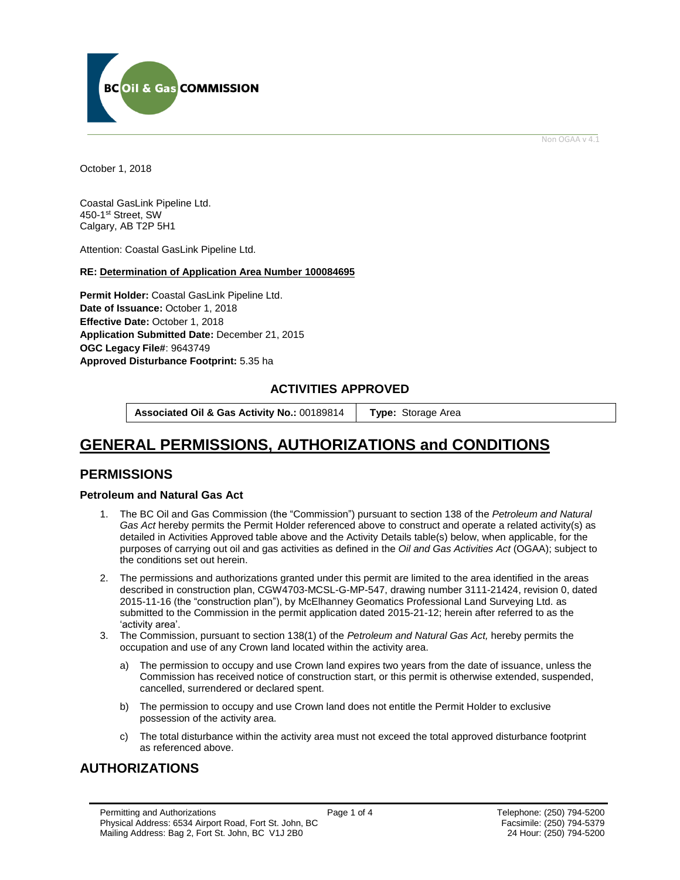

Non OGAA v 4.1

<span id="page-4-0"></span>October 1, 2018

Coastal GasLink Pipeline Ltd. 450-1st Street, SW Calgary, AB T2P 5H1

Attention: Coastal GasLink Pipeline Ltd.

#### **RE: Determination of Application Area Number 100084695**

**Permit Holder:** Coastal GasLink Pipeline Ltd. Date of Issuance: October 1, 2018 **Effective Date:** October 1, 2018 **Application Submitted Date:** December 21, 2015 **OGC Legacy File#**: 9643749 **[Approved Disturbance Footprint:](#page-4-0)** 5.35 ha

### **ACTIVITIES APPROVED**

**Associated Oil & Gas Activity No.:** 00189814 **[Type:](https://bi.bcogc.ca/Application%20Processing/Interactive%20Reports/(BIL-041)%20AMS%20Decision%20Summary.aspx)** Storage Area

# **GENERAL [PERMISSIONS,](#page-4-0) AUTHORIZATIONS and CONDITIONS**

### **PERMISSIONS**

#### **Petroleum and Natural Gas Act**

- 1. The BC Oil and Gas Commission (the "Commission") pursuant to section 138 of the *Petroleum and Natural Gas Act* hereby permits the Permit Holder referenced above to construct and operate a related activity(s) as detailed in Activities Approved table above and the Activity Details table(s) below, when applicable, for the purposes of carrying out oil and gas activities as defined in the *Oil and Gas Activities Act* (OGAA); subject to the conditions set out herein.
- 2. The permissions and authorizations granted under this permit are limited to the area identified in the areas described in construction plan, CGW4703-MCSL-G-MP-547, drawing number 3111-21424, revision 0, dated 2015-11-16 (the "construction plan"), by McElhanney Geomatics Professional Land Surveying Ltd. as submitted to the Commission in the permit application dated 2015-21-12; herein after referred to as the 'activity area'.
- 3. The Commission, pursuant to section 138(1) of the *Petroleum and Natural Gas Act,* hereby permits the occupation and use of any Crown land located within the activity area.
	- a) The permission to occupy and use Crown land expires two years from the date of issuance, unless the Commission has received notice of construction start, or this permit is otherwise extended, suspended, cancelled, surrendered or declared spent.
	- b) The permission to occupy and use Crown land does not entitle the Permit Holder to exclusive possession of the activity area.
	- c) The total disturbance within the activity area must not exceed the total approved disturbance footprint as referenced above.

## **AUTHORIZATIONS**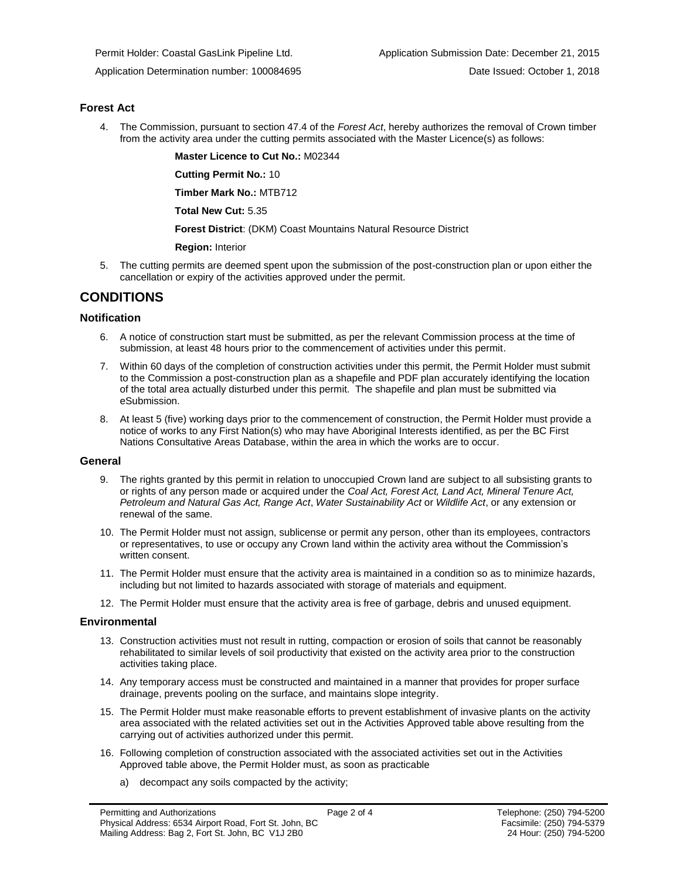#### **Forest Act**

4. The Commission, pursuant to section 47.4 of the *Forest Act*, hereby authorizes the removal of Crown timber from the activity area under the cutting permits associated with the Master Licence(s) as follows:

**Master Licence to Cut No.:** M02344

**Cutting Permit No.:** 10

**Timber Mark No.:** MTB712

**Total New Cut:** 5.35

**[Forest District](https://ams-crd.bcogc.ca/crd/)**: (DKM) Coast Mountains Natural Resource District

**Region:** Interior

5. The cutting permits are deemed spent upon the submission of the post-construction plan or upon either the cancellation or expiry of the activities approved under the permit.

## **CONDITIONS**

#### **Notification**

- 6. A notice of construction start must be submitted, as per the relevant Commission process at the time of submission, at least 48 hours prior to the commencement of activities under this permit.
- 7. Within 60 days of the completion of construction activities under this permit, the Permit Holder must submit to the Commission a post-construction plan as a shapefile and PDF plan accurately identifying the location of the total area actually disturbed under this permit. The shapefile and plan must be submitted via eSubmission.
- 8. At least 5 (five) working days prior to the commencement of construction, the Permit Holder must provide a notice of works to any First Nation(s) who may have Aboriginal Interests identified, as per the BC First Nations Consultative Areas Database, within the area in which the works are to occur.

#### **General**

- 9. The rights granted by this permit in relation to unoccupied Crown land are subject to all subsisting grants to or rights of any person made or acquired under the *Coal Act, Forest Act, Land Act, Mineral Tenure Act, Petroleum and Natural Gas Act, Range Act*, *Water Sustainability Act* or *Wildlife Act*, or any extension or renewal of the same.
- 10. The Permit Holder must not assign, sublicense or permit any person, other than its employees, contractors or representatives, to use or occupy any Crown land within the activity area without the Commission's written consent.
- 11. The Permit Holder must ensure that the activity area is maintained in a condition so as to minimize hazards, including but not limited to hazards associated with storage of materials and equipment.
- 12. The Permit Holder must ensure that the activity area is free of garbage, debris and unused equipment.

#### **Environmental**

- 13. Construction activities must not result in rutting, compaction or erosion of soils that cannot be reasonably rehabilitated to similar levels of soil productivity that existed on the activity area prior to the construction activities taking place.
- 14. Any temporary access must be constructed and maintained in a manner that provides for proper surface drainage, prevents pooling on the surface, and maintains slope integrity.
- 15. The Permit Holder must make reasonable efforts to prevent establishment of invasive plants on the activity area associated with the related activities set out in the Activities Approved table above resulting from the carrying out of activities authorized under this permit.
- 16. Following completion of construction associated with the associated activities set out in the Activities Approved table above, the Permit Holder must, as soon as practicable
	- a) decompact any soils compacted by the activity;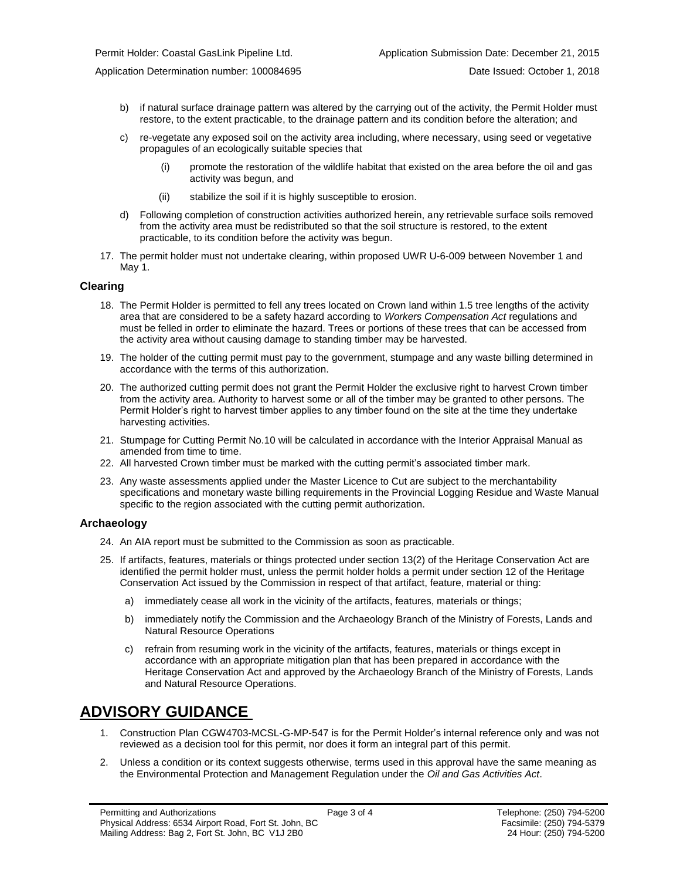Application Determination number: 100084695 Date Issued: October 1, 2018

- b) if natural surface drainage pattern was altered by the carrying out of the activity, the Permit Holder must restore, to the extent practicable, to the drainage pattern and its condition before the alteration; and
- c) re-vegetate any exposed soil on the activity area including, where necessary, using seed or vegetative propagules of an ecologically suitable species that
	- (i) promote the restoration of the wildlife habitat that existed on the area before the oil and gas activity was begun, and
	- (ii) stabilize the soil if it is highly susceptible to erosion.
- d) Following completion of construction activities authorized herein, any retrievable surface soils removed from the activity area must be redistributed so that the soil structure is restored, to the extent practicable, to its condition before the activity was begun.
- 17. The permit holder must not undertake clearing, within proposed UWR U-6-009 between November 1 and May 1.

#### **Clearing**

- 18. The Permit Holder is permitted to fell any trees located on Crown land within 1.5 tree lengths of the activity area that are considered to be a safety hazard according to *Workers Compensation Act* regulations and must be felled in order to eliminate the hazard. Trees or portions of these trees that can be accessed from the activity area without causing damage to standing timber may be harvested.
- 19. The holder of the cutting permit must pay to the government, stumpage and any waste billing determined in accordance with the terms of this authorization.
- 20. The authorized cutting permit does not grant the Permit Holder the exclusive right to harvest Crown timber from the activity area. Authority to harvest some or all of the timber may be granted to other persons. The Permit Holder's right to harvest timber applies to any timber found on the site at the time they undertake harvesting activities.
- 21. Stumpage for Cutting Permit No.10 will be calculated in accordance with the Interior Appraisal Manual as amended from time to time.
- 22. All harvested Crown timber must be marked with the cutting permit's associated timber mark.
- 23. Any waste assessments applied under the Master Licence to Cut are subject to the merchantability specifications and monetary waste billing requirements in the Provincial Logging Residue and Waste Manual specific to the region associated with the cutting permi[t authorization.](#page-4-0)

#### **Archaeology**

- 24. An AIA report must be submitted to the Commission as soon as practicable.
- 25. If artifacts, features, materials or things protected under section 13(2) of the Heritage Conservation Act are identified the permit holder must, unless the permit holder holds a permit under section 12 of the Heritage Conservation Act issued by the Commission in respect of that artifact, feature, material or thing:
	- a) immediately cease all work in the vicinity of the artifacts, features, materials or things;
	- b) immediately notify the Commission and the Archaeology Branch of the Ministry of Forests, Lands and Natural Resource Operations
	- c) refrain from resuming work in the vicinity of the artifacts, features, materials or things except in accordance with an appropriate mitigation plan that has been prepared in accordance with the Heritage Conservation Act and approved by the Archaeology Branch of the Ministry of Forests, Lands and Natural Resource Operations.

## **ADVISORY GUIDANCE**

- 1. Construction Plan CGW4703-MCSL-G-MP-547 is for the Permit Holder's internal reference only and was not reviewed as a decision tool for this permit, nor does it form an integral part of this permit.
- 2. Unless a condition or its context suggests otherwise, terms used in this approval have the same meaning as the Environmental Protection and Management Regulation under the *Oil and Gas Activities Act*.